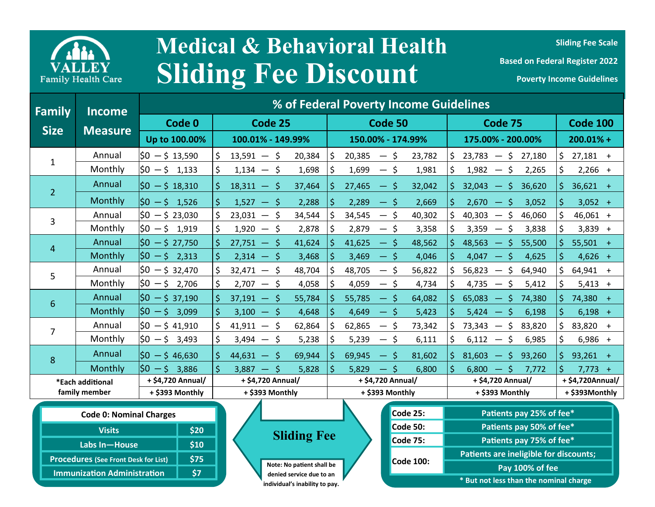

## **Sliding Fee Discount Medical & Behavioral Health**

**Sliding Fee Scale** 

| Family           | Income<br><b>Measure</b> | % of Federal Poverty Income Guidelines |                        |                                                                        |                                                    |                  |
|------------------|--------------------------|----------------------------------------|------------------------|------------------------------------------------------------------------|----------------------------------------------------|------------------|
| <b>Size</b>      |                          | Code 0                                 | Code 25                | Code 50                                                                | Code 75                                            | <b>Code 100</b>  |
|                  |                          | Up to 100.00%                          | 100.01% - 149.99%      | 150.00% - 174.99%                                                      | 175.00% - 200.00%                                  | $200.01% +$      |
| $\mathbf{1}$     | Annual                   | $ 50 - 5 13,590$                       | $13,591 - 5$<br>20,384 | 20,385<br>23,782<br>S.<br>$-5$                                         | $23,783 - $27,180$<br>S.                           | $27,181 +$       |
|                  | Monthly                  | $ 50 - 5 1,133$                        | $1,134 - 5$<br>1,698   | 1,699<br>$-$ \$<br>1,981                                               | $1,982 - 5$<br>2,265<br>S                          | $2,266 +$        |
| $\overline{2}$   | Annual                   | $ 50 - 5 18,310$                       | 37,464<br>$18,311 - 5$ | 27,465<br>32,042<br>$-5$                                               | $32,043 - 5$ 36,620<br>S.                          | $36,621 +$       |
|                  | Monthly                  | $$0 - $1,526$                          | $1,527 - 5$<br>2,288   | 2,289<br>2,669<br>$-5$                                                 | $2,670 - 5$<br>3,052                               | $3,052 +$        |
| 3                | Annual                   | $ 50 - 523,030 $                       | 34,544<br>$23,031 - 5$ | 34,545<br>40,302<br>-S<br>$\overline{\phantom{m}}$                     | 40,303<br>\$<br>46,060<br>$\overline{\phantom{0}}$ | 46,061 +         |
|                  | Monthly                  | $ 50 - 5 1,919$                        | $1,920 - 5$<br>2,878   | 2,879<br>3,358<br>$-5$                                                 | \$<br>3,359<br>3,838<br>$\overline{\phantom{m}}$   | $3,839 +$        |
| $\overline{4}$   | Annual                   | $50 - 527,750$                         | 41,624<br>$27,751 - 5$ | 41,625<br>48,562<br>$-5$                                               | 48,563<br>$-5$<br>55,500                           | $55,501 +$       |
|                  | Monthly                  | $ 50 - 5 \t2,313 \t $                  | $2,314 - 5$<br>3,468   | 3,469<br>— \$<br>4,046                                                 | 4,047<br>-\$<br>4,625                              | $4,626 +$        |
| 5                | Annual                   | $ 50 - 532,470 $                       | $32,471 - $$<br>48,704 | 48,705<br>56,822                                                       | \$<br>56,823<br>64,940<br>$\overline{\phantom{m}}$ | $64,941 +$       |
|                  | Monthly                  | $ 50 - 5 2,706$                        | $2,707 - 5$<br>4,058   | 4,059<br>4,734<br>— \$                                                 | $4,735 - 5$<br>5,412                               | $5,413 +$        |
|                  | Annual                   | $$0 - $37,190$                         | $37,191 - 5$<br>55,784 | 55,785<br>65,083<br>$-5$<br>74,380<br>64,082<br>— \$                   | 74,380 +                                           |                  |
| 6                | Monthly                  | $ 50 - 5 $ 3,099                       | $3,100 - 5$<br>4,648   | 4,649<br>5,423<br>— \$                                                 | 5,424<br>$-5$<br>6,198                             | $6,198 +$        |
| 7                | Annual                   | $ 50 - 541,910$                        | $41,911 - 5$<br>62,864 | 62,865<br>73,342<br>73,343<br>\$<br>83,820<br>$\overline{\phantom{0}}$ | 83,820 +                                           |                  |
|                  | Monthly                  | $ 50 - 5 3,493$                        | $3,494 - 5$<br>5,238   | 5,239<br>6,111<br>-S<br>$\qquad \qquad \overline{\qquad \qquad }$      | 6,985<br>6,112<br>-\$<br>$\overline{\phantom{m}}$  | $6,986 +$        |
| 8                | Annual                   | $50 - 546,630$                         | 69,944<br>$44,631 - 5$ | 69,945<br>81,602<br>— \$                                               | $81,603 - 5$<br>93,260                             | $93,261 +$       |
|                  | Monthly                  | $ 50 - 5 3,886$                        | $3,887 - 5$<br>5,828   | 5,829<br>$-5$<br>6,800                                                 | $-5$<br>6,800<br>7,772                             | $7,773 +$        |
| *Each additional |                          | + \$4,720 Annual/                      | + \$4,720 Annual/      | + \$4,720 Annual/                                                      | + \$4,720 Annual/                                  | + \$4,720Annual/ |
| family member    |                          | + \$393 Monthly                        | + \$393 Monthly        | + \$393 Monthly                                                        | + \$393 Monthly                                    | + \$393Monthly   |

| <b>Code 0: Nominal Charges</b>              |      |  |  |  |
|---------------------------------------------|------|--|--|--|
| <b>Visits</b>                               | \$20 |  |  |  |
| Labs In-House                               | \$10 |  |  |  |
| <b>Procedures (See Front Desk for List)</b> | \$75 |  |  |  |
| <b>Immunization Administration</b>          | \$7  |  |  |  |
|                                             |      |  |  |  |



**individual's inability to pay.** 

| <b>Code 25:</b>  | Patients pay 25% of fee*               |  |  |
|------------------|----------------------------------------|--|--|
| <b>Code 50:</b>  | Patients pay 50% of fee*               |  |  |
| <b>Code 75:</b>  | Patients pay 75% of fee*               |  |  |
|                  | Patients are ineligible for discounts; |  |  |
| <b>Code 100:</b> | Pay 100% of fee                        |  |  |
|                  | * But not less than the nominal charge |  |  |
|                  |                                        |  |  |